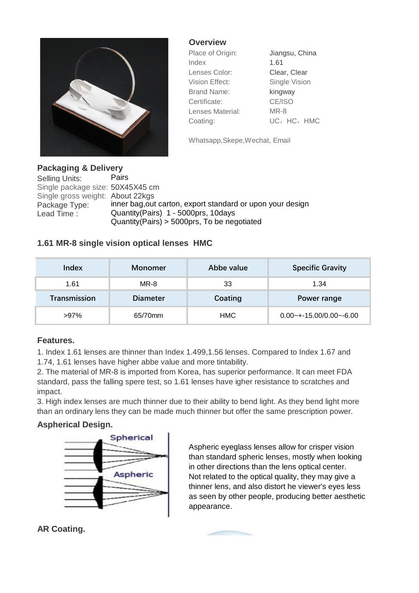

**Overview**

| Place of Origin:   | Jiangsu, China |  |
|--------------------|----------------|--|
| Index              | 1.61           |  |
| Lenses Color:      | Clear, Clear   |  |
| Vision Effect:     | Single Vision  |  |
| <b>Brand Name:</b> | kingway        |  |
| Certificate:       | CE/ISO         |  |
| Lenses Material:   | MR-8           |  |
| Coating:           | UC, HC, HMC    |  |

Whatsapp,Skepe,Wechat, Email

## **Packaging & Delivery**

Selling Units: Pairs Single package size: 50X45X45 cm Single gross weight: About 22kgs<br>Package Type: inner bag,out Package Type: inner bag, out carton, export standard or upon your design<br>Lead Time: Quantity(Pairs) 1 - 5000prs, 10days Quantity(Pairs) 1 - 5000prs, 10days Quantity(Pairs) > 5000prs, To be negotiated

# **1.61 MR-8 single vision optical lenses HMC**

| Index        | Monomer         | Abbe value | <b>Specific Gravity</b>    |
|--------------|-----------------|------------|----------------------------|
| 1.61         | MR-8            | 33         | 1.34                       |
| Transmission | <b>Diameter</b> | Coating    | Power range                |
| $>97\%$      | 65/70mm         | <b>HMC</b> | $0.00$ ~+-15.00/0.00~-6.00 |

### **Features.**

1. Index 1.61 lenses are thinner than Index 1.499,1.56 lenses. Compared to Index 1.67 and 1.74, 1.61 lenses have higher abbe value and more tintability.

2. The material of MR-8 is imported from Korea, has superior performance. It can meet FDA standard, pass the falling spere test, so 1.61 lenses have igher resistance to scratches and impact.

3. High index lenses are much thinner due to their ability to bend light. As they bend light more than an ordinary lens they can be made much thinner but offer the same prescription power.

### **Aspherical Design.**



Aspheric eyeglass lenses allow for crisper vision than standard spheric lenses, mostly when looking in other directions than the lens optical center. Not related to the optical quality, they may give a thinner lens, and also distort he viewer's eyes less as seen by other people, producing better aesthetic appearance.

# **AR Coating.**